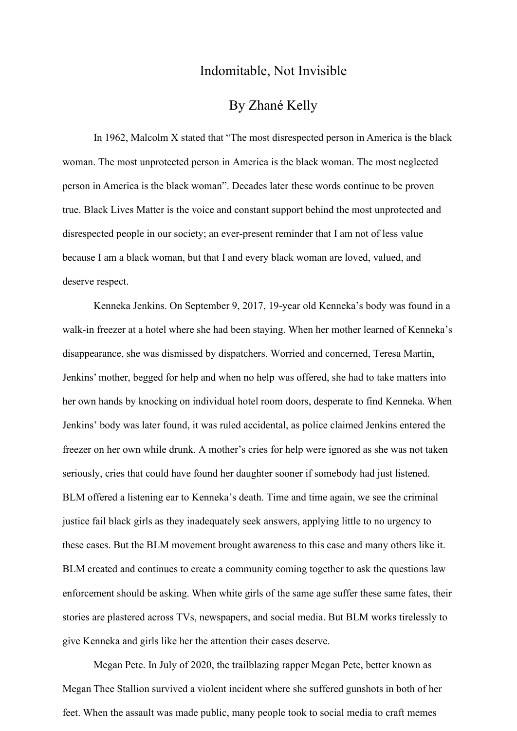## Indomitable, Not Invisible

## By Zhané Kelly

In 1962, Malcolm X stated that "The most disrespected person in America is the black woman. The most unprotected person in America is the black woman. The most neglected person in America is the black woman". Decades later these words continue to be proven true. Black Lives Matter is the voice and constant support behind the most unprotected and disrespected people in our society; an ever-present reminder that I am not of less value because I am a black woman, but that I and every black woman are loved, valued, and deserve respect.

Kenneka Jenkins. On September 9, 2017, 19-year old Kenneka's body was found in a walk-in freezer at a hotel where she had been staying. When her mother learned of Kenneka's disappearance, she was dismissed by dispatchers. Worried and concerned, Teresa Martin, Jenkins' mother, begged for help and when no help was offered, she had to take matters into her own hands by knocking on individual hotel room doors, desperate to find Kenneka. When Jenkins' body was later found, it was ruled accidental, as police claimed Jenkins entered the freezer on her own while drunk. A mother's cries for help were ignored as she was not taken seriously, cries that could have found her daughter sooner if somebody had just listened. BLM offered a listening ear to Kenneka's death. Time and time again, we see the criminal justice fail black girls as they inadequately seek answers, applying little to no urgency to these cases. But the BLM movement brought awareness to this case and many others like it. BLM created and continues to create a community coming together to ask the questions law enforcement should be asking. When white girls of the same age suffer these same fates, their stories are plastered across TVs, newspapers, and social media. But BLM works tirelessly to give Kenneka and girls like her the attention their cases deserve.

Megan Pete. In July of 2020, the trailblazing rapper Megan Pete, better known as Megan Thee Stallion survived a violent incident where she suffered gunshots in both of her feet. When the assault was made public, many people took to social media to craft memes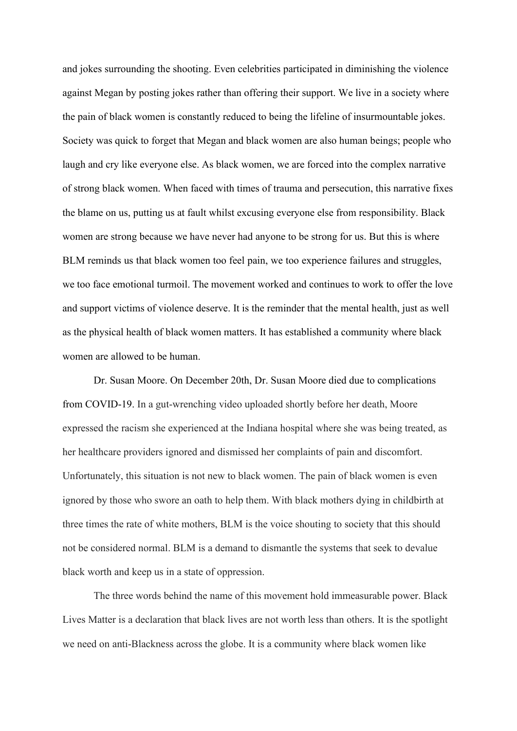and jokes surrounding the shooting. Even celebrities participated in diminishing the violence against Megan by posting jokes rather than offering their support. We live in a society where the pain of black women is constantly reduced to being the lifeline of insurmountable jokes. Society was quick to forget that Megan and black women are also human beings; people who laugh and cry like everyone else. As black women, we are forced into the complex narrative of strong black women. When faced with times of trauma and persecution, this narrative fixes the blame on us, putting us at fault whilst excusing everyone else from responsibility. Black women are strong because we have never had anyone to be strong for us. But this is where BLM reminds us that black women too feel pain, we too experience failures and struggles, we too face emotional turmoil. The movement worked and continues to work to offer the love and support victims of violence deserve. It is the reminder that the mental health, just as well as the physical health of black women matters. It has established a community where black women are allowed to be human.

Dr. Susan Moore. On December 20th, Dr. Susan Moore died due to complications from COVID-19. In a gut-wrenching video uploaded shortly before her death, Moore expressed the racism she experienced at the Indiana hospital where she was being treated, as her healthcare providers ignored and dismissed her complaints of pain and discomfort. Unfortunately, this situation is not new to black women. The pain of black women is even ignored by those who swore an oath to help them. With black mothers dying in childbirth at three times the rate of white mothers, BLM is the voice shouting to society that this should not be considered normal. BLM is a demand to dismantle the systems that seek to devalue black worth and keep us in a state of oppression.

The three words behind the name of this movement hold immeasurable power. Black Lives Matter is a declaration that black lives are not worth less than others. It is the spotlight we need on anti-Blackness across the globe. It is a community where black women like